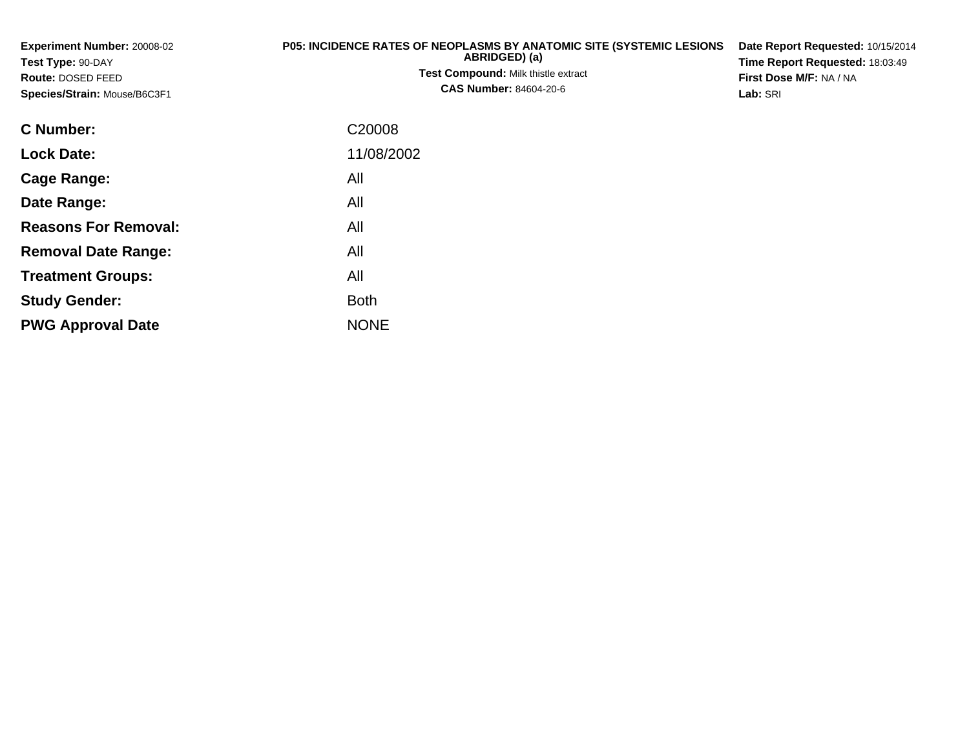**Experiment Number:** 20008-02**Test Type:** 90-DAY **Route:** DOSED FEED **Species/Strain:** Mouse/B6C3F1**P05: INCIDENCE RATES OF NEOPLASMS BY ANATOMIC SITE (SYSTEMIC LESIONS ABRIDGED) (a) Test Compound:** Milk thistle extract**CAS Number:** 84604-20-6**Date Report Requested:** 10/15/2014**Time Report Requested:** 18:03:49**First Dose M/F:** NA / NA**Lab:** SRI**C Number:**C20008

| <b>Lock Date:</b>           | 11/08/2002  |
|-----------------------------|-------------|
| Cage Range:                 | All         |
| Date Range:                 | All         |
| <b>Reasons For Removal:</b> | All         |
| <b>Removal Date Range:</b>  | All         |
| <b>Treatment Groups:</b>    | All         |
| <b>Study Gender:</b>        | <b>Both</b> |
| <b>PWG Approval Date</b>    | <b>NONE</b> |
|                             |             |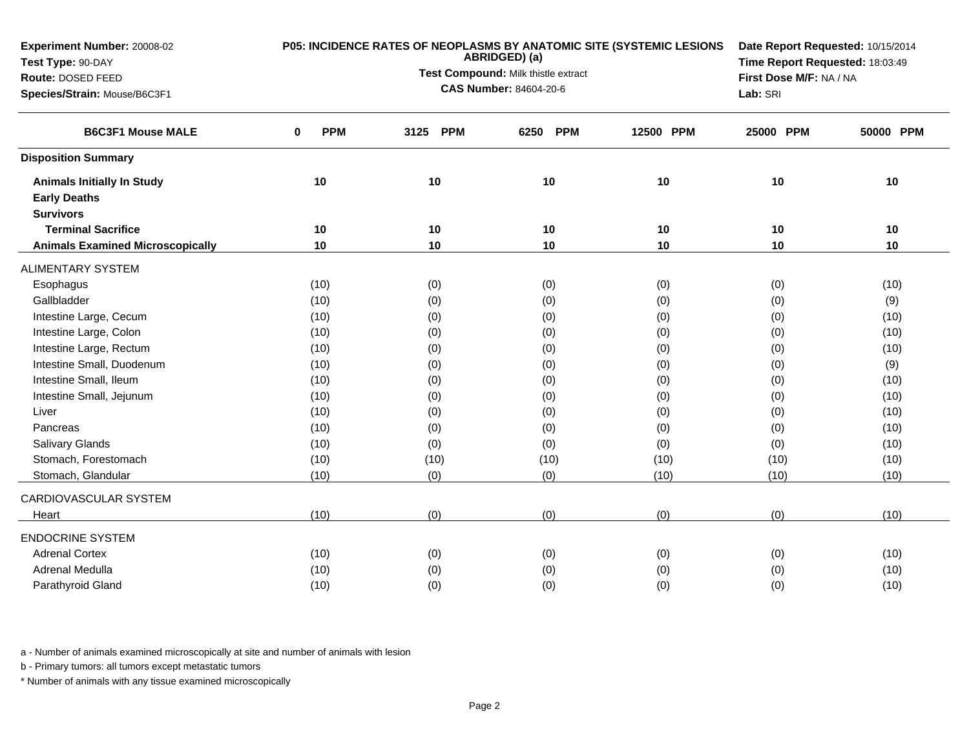| Experiment Number: 20008-02             |                        | P05: INCIDENCE RATES OF NEOPLASMS BY ANATOMIC SITE (SYSTEMIC LESIONS<br>ABRIDGED) (a) | Date Report Requested: 10/15/2014<br>Time Report Requested: 18:03:49 |           |                         |           |
|-----------------------------------------|------------------------|---------------------------------------------------------------------------------------|----------------------------------------------------------------------|-----------|-------------------------|-----------|
| Test Type: 90-DAY                       |                        |                                                                                       |                                                                      |           |                         |           |
| Route: DOSED FEED                       |                        |                                                                                       | Test Compound: Milk thistle extract                                  |           | First Dose M/F: NA / NA |           |
| Species/Strain: Mouse/B6C3F1            |                        |                                                                                       | <b>CAS Number: 84604-20-6</b>                                        |           | Lab: SRI                |           |
| <b>B6C3F1 Mouse MALE</b>                | <b>PPM</b><br>$\bf{0}$ | 3125<br><b>PPM</b>                                                                    | <b>PPM</b><br>6250                                                   | 12500 PPM | 25000 PPM               | 50000 PPM |
| <b>Disposition Summary</b>              |                        |                                                                                       |                                                                      |           |                         |           |
| <b>Animals Initially In Study</b>       | 10                     | 10                                                                                    | 10                                                                   | 10        | 10                      | 10        |
| <b>Early Deaths</b>                     |                        |                                                                                       |                                                                      |           |                         |           |
| <b>Survivors</b>                        |                        |                                                                                       |                                                                      |           |                         |           |
| <b>Terminal Sacrifice</b>               | 10                     | 10                                                                                    | 10                                                                   | 10        | 10                      | 10        |
| <b>Animals Examined Microscopically</b> | 10                     | 10                                                                                    | 10                                                                   | 10        | 10                      | 10        |
| <b>ALIMENTARY SYSTEM</b>                |                        |                                                                                       |                                                                      |           |                         |           |
| Esophagus                               | (10)                   | (0)                                                                                   | (0)                                                                  | (0)       | (0)                     | (10)      |
| Gallbladder                             | (10)                   | (0)                                                                                   | (0)                                                                  | (0)       | (0)                     | (9)       |
| Intestine Large, Cecum                  | (10)                   | (0)                                                                                   | (0)                                                                  | (0)       | (0)                     | (10)      |
| Intestine Large, Colon                  | (10)                   | (0)                                                                                   | (0)                                                                  | (0)       | (0)                     | (10)      |
| Intestine Large, Rectum                 | (10)                   | (0)                                                                                   | (0)                                                                  | (0)       | (0)                     | (10)      |
| Intestine Small, Duodenum               | (10)                   | (0)                                                                                   | (0)                                                                  | (0)       | (0)                     | (9)       |
| Intestine Small, Ileum                  | (10)                   | (0)                                                                                   | (0)                                                                  | (0)       | (0)                     | (10)      |
| Intestine Small, Jejunum                | (10)                   | (0)                                                                                   | (0)                                                                  | (0)       | (0)                     | (10)      |
| Liver                                   | (10)                   | (0)                                                                                   | (0)                                                                  | (0)       | (0)                     | (10)      |
| Pancreas                                | (10)                   | (0)                                                                                   | (0)                                                                  | (0)       | (0)                     | (10)      |
| Salivary Glands                         | (10)                   | (0)                                                                                   | (0)                                                                  | (0)       | (0)                     | (10)      |
| Stomach, Forestomach                    | (10)                   | (10)                                                                                  | (10)                                                                 | (10)      | (10)                    | (10)      |
| Stomach, Glandular                      | (10)                   | (0)                                                                                   | (0)                                                                  | (10)      | (10)                    | (10)      |
| CARDIOVASCULAR SYSTEM                   |                        |                                                                                       |                                                                      |           |                         |           |
| Heart                                   | (10)                   | (0)                                                                                   | (0)                                                                  | (0)       | (0)                     | (10)      |
| <b>ENDOCRINE SYSTEM</b>                 |                        |                                                                                       |                                                                      |           |                         |           |
| <b>Adrenal Cortex</b>                   | (10)                   | (0)                                                                                   | (0)                                                                  | (0)       | (0)                     | (10)      |
| Adrenal Medulla                         | (10)                   | (0)                                                                                   | (0)                                                                  | (0)       | (0)                     | (10)      |
| Parathyroid Gland                       | (10)                   | (0)                                                                                   | (0)                                                                  | (0)       | (0)                     | (10)      |

b - Primary tumors: all tumors except metastatic tumors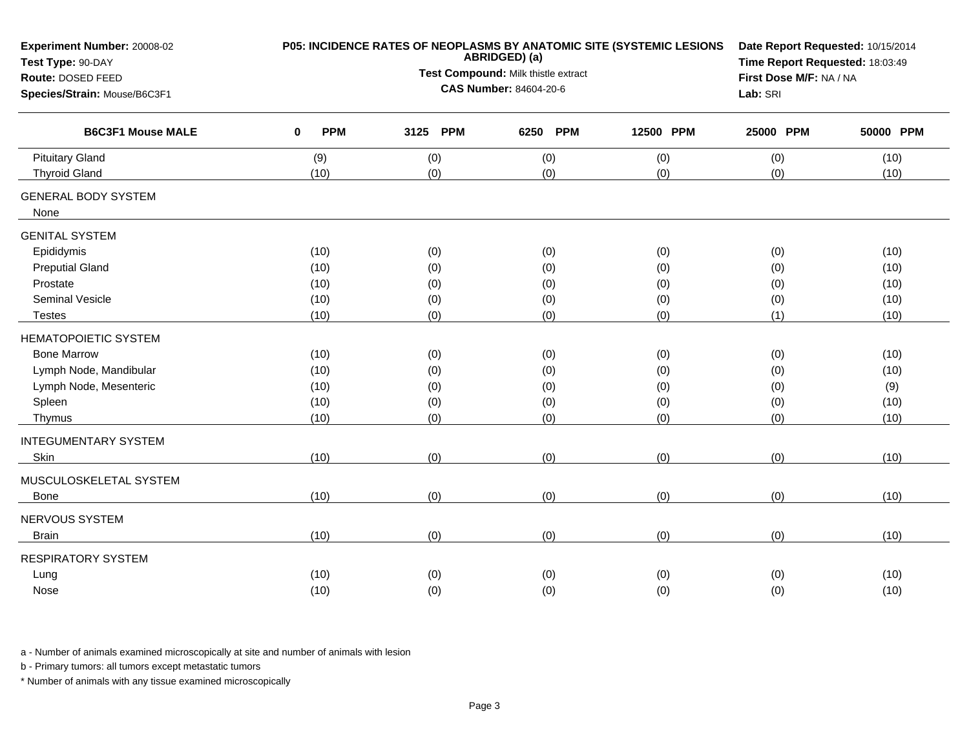| Experiment Number: 20008-02<br>Test Type: 90-DAY |                        | P05: INCIDENCE RATES OF NEOPLASMS BY ANATOMIC SITE (SYSTEMIC LESIONS<br>ABRIDGED) (a) | Date Report Requested: 10/15/2014<br>Time Report Requested: 18:03:49 |           |           |           |
|--------------------------------------------------|------------------------|---------------------------------------------------------------------------------------|----------------------------------------------------------------------|-----------|-----------|-----------|
| Route: DOSED FEED                                |                        | Test Compound: Milk thistle extract                                                   | First Dose M/F: NA / NA                                              |           |           |           |
| Species/Strain: Mouse/B6C3F1                     |                        | <b>CAS Number: 84604-20-6</b>                                                         |                                                                      | Lab: SRI  |           |           |
| <b>B6C3F1 Mouse MALE</b>                         | <b>PPM</b><br>$\bf{0}$ | 3125 PPM                                                                              | <b>PPM</b><br>6250                                                   | 12500 PPM | 25000 PPM | 50000 PPM |
| <b>Pituitary Gland</b>                           | (9)                    | (0)                                                                                   | (0)                                                                  | (0)       | (0)       | (10)      |
| <b>Thyroid Gland</b>                             | (10)                   | (0)                                                                                   | (0)                                                                  | (0)       | (0)       | (10)      |
| <b>GENERAL BODY SYSTEM</b>                       |                        |                                                                                       |                                                                      |           |           |           |
| None                                             |                        |                                                                                       |                                                                      |           |           |           |
| <b>GENITAL SYSTEM</b>                            |                        |                                                                                       |                                                                      |           |           |           |
| Epididymis                                       | (10)                   | (0)                                                                                   | (0)                                                                  | (0)       | (0)       | (10)      |
| <b>Preputial Gland</b>                           | (10)                   | (0)                                                                                   | (0)                                                                  | (0)       | (0)       | (10)      |
| Prostate                                         | (10)                   | (0)                                                                                   | (0)                                                                  | (0)       | (0)       | (10)      |
| Seminal Vesicle                                  | (10)                   | (0)                                                                                   | (0)                                                                  | (0)       | (0)       | (10)      |
| <b>Testes</b>                                    | (10)                   | (0)                                                                                   | (0)                                                                  | (0)       | (1)       | (10)      |
| <b>HEMATOPOIETIC SYSTEM</b>                      |                        |                                                                                       |                                                                      |           |           |           |
| <b>Bone Marrow</b>                               | (10)                   | (0)                                                                                   | (0)                                                                  | (0)       | (0)       | (10)      |
| Lymph Node, Mandibular                           | (10)                   | (0)                                                                                   | (0)                                                                  | (0)       | (0)       | (10)      |
| Lymph Node, Mesenteric                           | (10)                   | (0)                                                                                   | (0)                                                                  | (0)       | (0)       | (9)       |
| Spleen                                           | (10)                   | (0)                                                                                   | (0)                                                                  | (0)       | (0)       | (10)      |
| Thymus                                           | (10)                   | (0)                                                                                   | (0)                                                                  | (0)       | (0)       | (10)      |
| <b>INTEGUMENTARY SYSTEM</b>                      |                        |                                                                                       |                                                                      |           |           |           |
| Skin                                             | (10)                   | (0)                                                                                   | (0)                                                                  | (0)       | (0)       | (10)      |
| MUSCULOSKELETAL SYSTEM                           |                        |                                                                                       |                                                                      |           |           |           |
| <b>Bone</b>                                      | (10)                   | (0)                                                                                   | (0)                                                                  | (0)       | (0)       | (10)      |
| NERVOUS SYSTEM                                   |                        |                                                                                       |                                                                      |           |           |           |
| <b>Brain</b>                                     | (10)                   | (0)                                                                                   | (0)                                                                  | (0)       | (0)       | (10)      |
| <b>RESPIRATORY SYSTEM</b>                        |                        |                                                                                       |                                                                      |           |           |           |
| Lung                                             | (10)                   | (0)                                                                                   | (0)                                                                  | (0)       | (0)       | (10)      |
| Nose                                             | (10)                   | (0)                                                                                   | (0)                                                                  | (0)       | (0)       | (10)      |
|                                                  |                        |                                                                                       |                                                                      |           |           |           |

b - Primary tumors: all tumors except metastatic tumors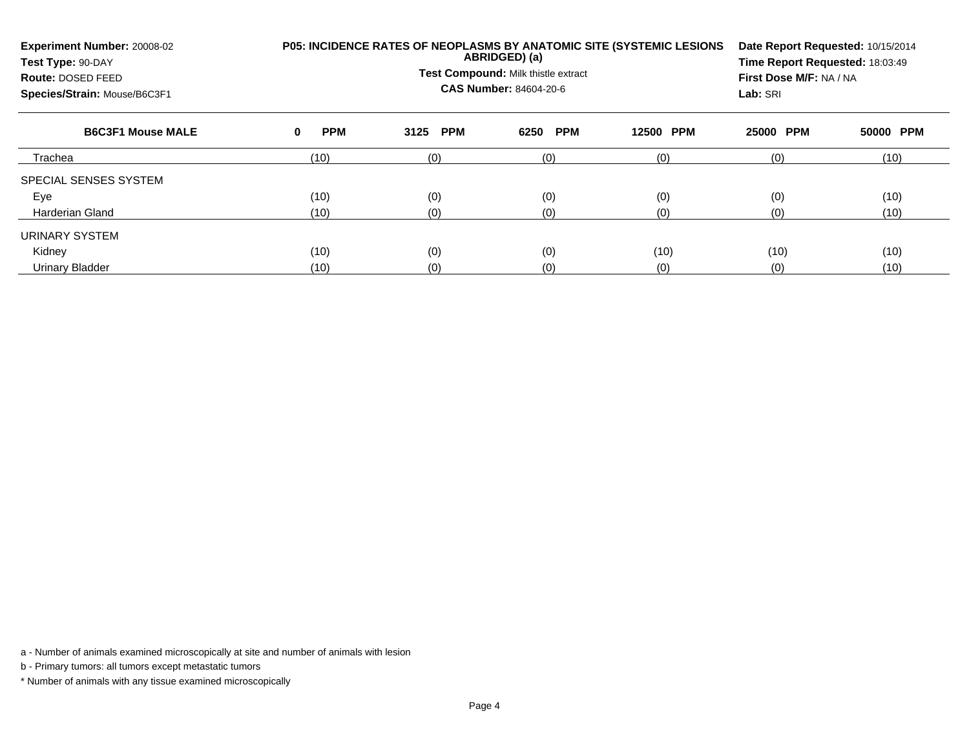| Experiment Number: 20008-02<br>Test Type: 90-DAY<br>Route: DOSED FEED<br>Species/Strain: Mouse/B6C3F1 | P05: INCIDENCE RATES OF NEOPLASMS BY ANATOMIC SITE (SYSTEMIC LESIONS | Date Report Requested: 10/15/2014<br>Time Report Requested: 18:03:49<br>First Dose M/F: NA / NA<br>Lab: SRI |                    |                     |           |           |
|-------------------------------------------------------------------------------------------------------|----------------------------------------------------------------------|-------------------------------------------------------------------------------------------------------------|--------------------|---------------------|-----------|-----------|
| <b>B6C3F1 Mouse MALE</b>                                                                              | <b>PPM</b><br>0                                                      | <b>PPM</b><br>3125                                                                                          | <b>PPM</b><br>6250 | <b>PPM</b><br>12500 | 25000 PPM | 50000 PPM |
| Trachea                                                                                               | (10)                                                                 | (0)                                                                                                         | (0)                | (0)                 | (0)       | (10)      |
| SPECIAL SENSES SYSTEM                                                                                 |                                                                      |                                                                                                             |                    |                     |           |           |
| Eye                                                                                                   | (10)                                                                 | (0)                                                                                                         | (0)                | (0)                 | (0)       | (10)      |
| Harderian Gland                                                                                       | (10)                                                                 | (0)                                                                                                         | (0)                | (0)                 | (0)       | (10)      |
| URINARY SYSTEM                                                                                        |                                                                      |                                                                                                             |                    |                     |           |           |
| Kidney                                                                                                | (10)                                                                 | (0)                                                                                                         | (0)                | (10)                | (10)      | (10)      |
| Urinary Bladder                                                                                       | (10)                                                                 | (0)                                                                                                         | (0)                | (0)                 | (0)       | (10)      |

b - Primary tumors: all tumors except metastatic tumors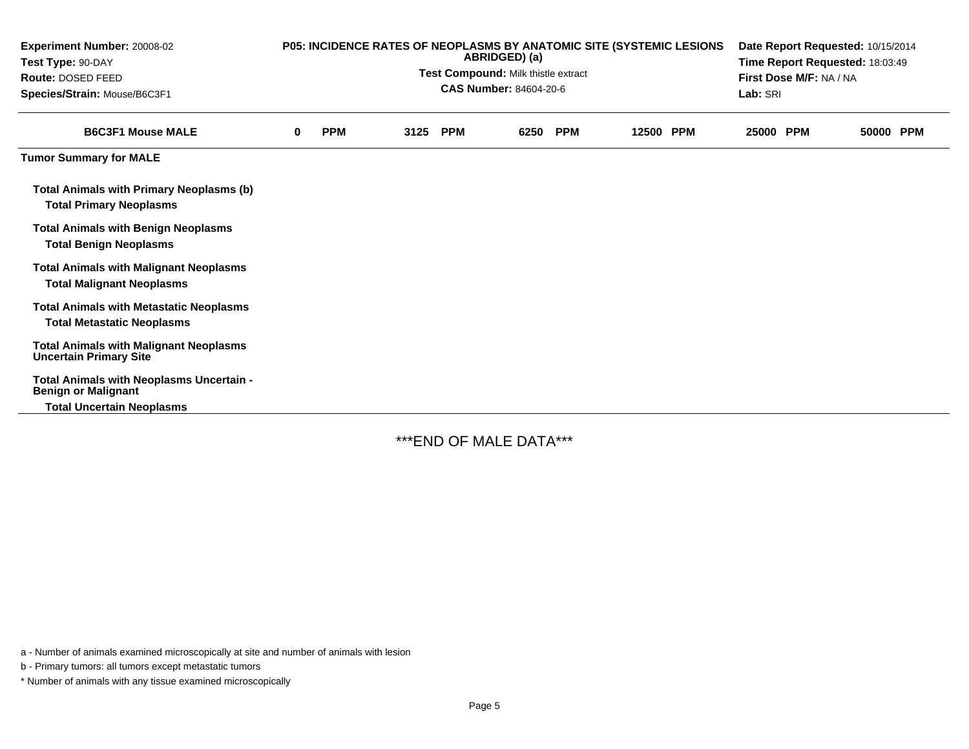| <b>Experiment Number: 20008-02</b><br>Test Type: 90-DAY<br><b>Route: DOSED FEED</b><br>Species/Strain: Mouse/B6C3F1 | P05: INCIDENCE RATES OF NEOPLASMS BY ANATOMIC SITE (SYSTEMIC LESIONS<br>ABRIDGED) (a)<br>Test Compound: Milk thistle extract<br><b>CAS Number: 84604-20-6</b> |            |      |            |      |            | Date Report Requested: 10/15/2014<br>Time Report Requested: 18:03:49<br>First Dose M/F: NA / NA<br>Lab: SRI |  |           |  |           |  |
|---------------------------------------------------------------------------------------------------------------------|---------------------------------------------------------------------------------------------------------------------------------------------------------------|------------|------|------------|------|------------|-------------------------------------------------------------------------------------------------------------|--|-----------|--|-----------|--|
| <b>B6C3F1 Mouse MALE</b>                                                                                            | 0                                                                                                                                                             | <b>PPM</b> | 3125 | <b>PPM</b> | 6250 | <b>PPM</b> | 12500 PPM                                                                                                   |  | 25000 PPM |  | 50000 PPM |  |
| <b>Tumor Summary for MALE</b>                                                                                       |                                                                                                                                                               |            |      |            |      |            |                                                                                                             |  |           |  |           |  |
| <b>Total Animals with Primary Neoplasms (b)</b><br><b>Total Primary Neoplasms</b>                                   |                                                                                                                                                               |            |      |            |      |            |                                                                                                             |  |           |  |           |  |
| <b>Total Animals with Benign Neoplasms</b><br><b>Total Benign Neoplasms</b>                                         |                                                                                                                                                               |            |      |            |      |            |                                                                                                             |  |           |  |           |  |
| <b>Total Animals with Malignant Neoplasms</b><br><b>Total Malignant Neoplasms</b>                                   |                                                                                                                                                               |            |      |            |      |            |                                                                                                             |  |           |  |           |  |
| <b>Total Animals with Metastatic Neoplasms</b><br><b>Total Metastatic Neoplasms</b>                                 |                                                                                                                                                               |            |      |            |      |            |                                                                                                             |  |           |  |           |  |
| <b>Total Animals with Malignant Neoplasms</b><br><b>Uncertain Primary Site</b>                                      |                                                                                                                                                               |            |      |            |      |            |                                                                                                             |  |           |  |           |  |
| Total Animals with Neoplasms Uncertain -<br><b>Benign or Malignant</b>                                              |                                                                                                                                                               |            |      |            |      |            |                                                                                                             |  |           |  |           |  |
| <b>Total Uncertain Neoplasms</b>                                                                                    |                                                                                                                                                               |            |      |            |      |            |                                                                                                             |  |           |  |           |  |

\*\*\*END OF MALE DATA\*\*\*

a - Number of animals examined microscopically at site and number of animals with lesion

b - Primary tumors: all tumors except metastatic tumors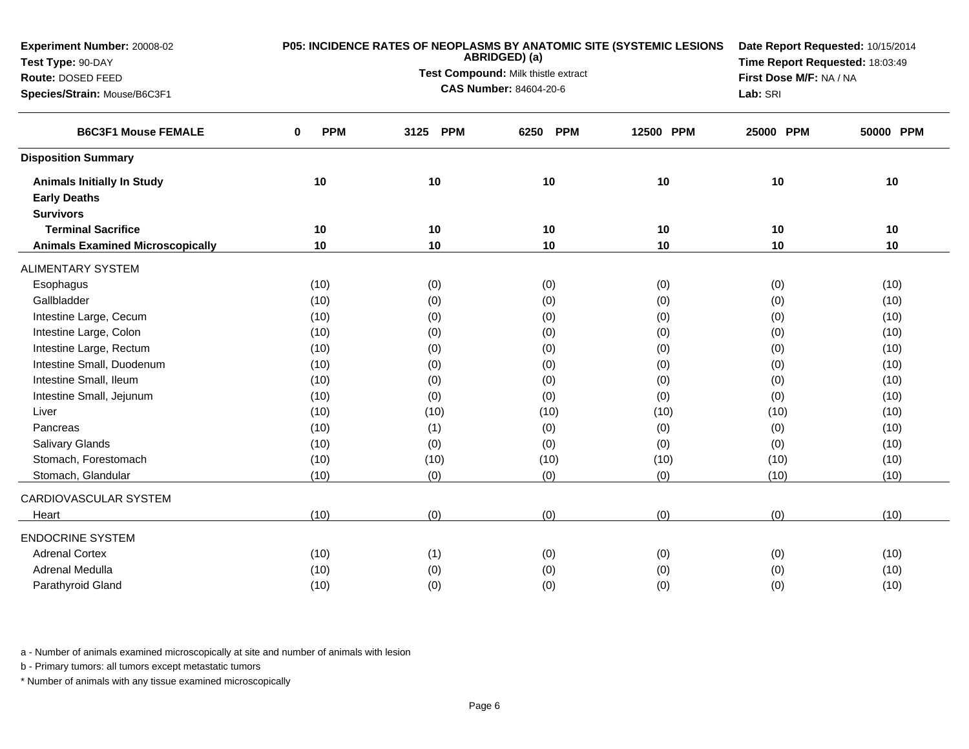| Experiment Number: 20008-02             |                 | P05: INCIDENCE RATES OF NEOPLASMS BY ANATOMIC SITE (SYSTEMIC LESIONS<br>ABRIDGED) (a) | Date Report Requested: 10/15/2014<br>Time Report Requested: 18:03:49 |           |                         |           |
|-----------------------------------------|-----------------|---------------------------------------------------------------------------------------|----------------------------------------------------------------------|-----------|-------------------------|-----------|
| Test Type: 90-DAY                       |                 | Test Compound: Milk thistle extract                                                   |                                                                      |           |                         |           |
| Route: DOSED FEED                       |                 |                                                                                       | <b>CAS Number: 84604-20-6</b>                                        |           | First Dose M/F: NA / NA |           |
| Species/Strain: Mouse/B6C3F1            |                 |                                                                                       |                                                                      |           | Lab: SRI                |           |
| <b>B6C3F1 Mouse FEMALE</b>              | <b>PPM</b><br>0 | <b>PPM</b><br>3125                                                                    | <b>PPM</b><br>6250                                                   | 12500 PPM | 25000 PPM               | 50000 PPM |
| <b>Disposition Summary</b>              |                 |                                                                                       |                                                                      |           |                         |           |
| <b>Animals Initially In Study</b>       | 10              | 10                                                                                    | 10                                                                   | 10        | 10                      | 10        |
| <b>Early Deaths</b>                     |                 |                                                                                       |                                                                      |           |                         |           |
| <b>Survivors</b>                        |                 |                                                                                       |                                                                      |           |                         |           |
| <b>Terminal Sacrifice</b>               | 10              | 10                                                                                    | 10                                                                   | 10        | 10                      | 10        |
| <b>Animals Examined Microscopically</b> | 10              | 10                                                                                    | 10                                                                   | 10        | 10                      | 10        |
| <b>ALIMENTARY SYSTEM</b>                |                 |                                                                                       |                                                                      |           |                         |           |
| Esophagus                               | (10)            | (0)                                                                                   | (0)                                                                  | (0)       | (0)                     | (10)      |
| Gallbladder                             | (10)            | (0)                                                                                   | (0)                                                                  | (0)       | (0)                     | (10)      |
| Intestine Large, Cecum                  | (10)            | (0)                                                                                   | (0)                                                                  | (0)       | (0)                     | (10)      |
| Intestine Large, Colon                  | (10)            | (0)                                                                                   | (0)                                                                  | (0)       | (0)                     | (10)      |
| Intestine Large, Rectum                 | (10)            | (0)                                                                                   | (0)                                                                  | (0)       | (0)                     | (10)      |
| Intestine Small, Duodenum               | (10)            | (0)                                                                                   | (0)                                                                  | (0)       | (0)                     | (10)      |
| Intestine Small, Ileum                  | (10)            | (0)                                                                                   | (0)                                                                  | (0)       | (0)                     | (10)      |
| Intestine Small, Jejunum                | (10)            | (0)                                                                                   | (0)                                                                  | (0)       | (0)                     | (10)      |
| Liver                                   | (10)            | (10)                                                                                  | (10)                                                                 | (10)      | (10)                    | (10)      |
| Pancreas                                | (10)            | (1)                                                                                   | (0)                                                                  | (0)       | (0)                     | (10)      |
| Salivary Glands                         | (10)            | (0)                                                                                   | (0)                                                                  | (0)       | (0)                     | (10)      |
| Stomach, Forestomach                    | (10)            | (10)                                                                                  | (10)                                                                 | (10)      | (10)                    | (10)      |
| Stomach, Glandular                      | (10)            | (0)                                                                                   | (0)                                                                  | (0)       | (10)                    | (10)      |
| CARDIOVASCULAR SYSTEM                   |                 |                                                                                       |                                                                      |           |                         |           |
| Heart                                   | (10)            | (0)                                                                                   | (0)                                                                  | (0)       | (0)                     | (10)      |
| <b>ENDOCRINE SYSTEM</b>                 |                 |                                                                                       |                                                                      |           |                         |           |
| <b>Adrenal Cortex</b>                   | (10)            | (1)                                                                                   | (0)                                                                  | (0)       | (0)                     | (10)      |
| Adrenal Medulla                         | (10)            | (0)                                                                                   | (0)                                                                  | (0)       | (0)                     | (10)      |
| Parathyroid Gland                       | (10)            | (0)                                                                                   | (0)                                                                  | (0)       | (0)                     | (10)      |

b - Primary tumors: all tumors except metastatic tumors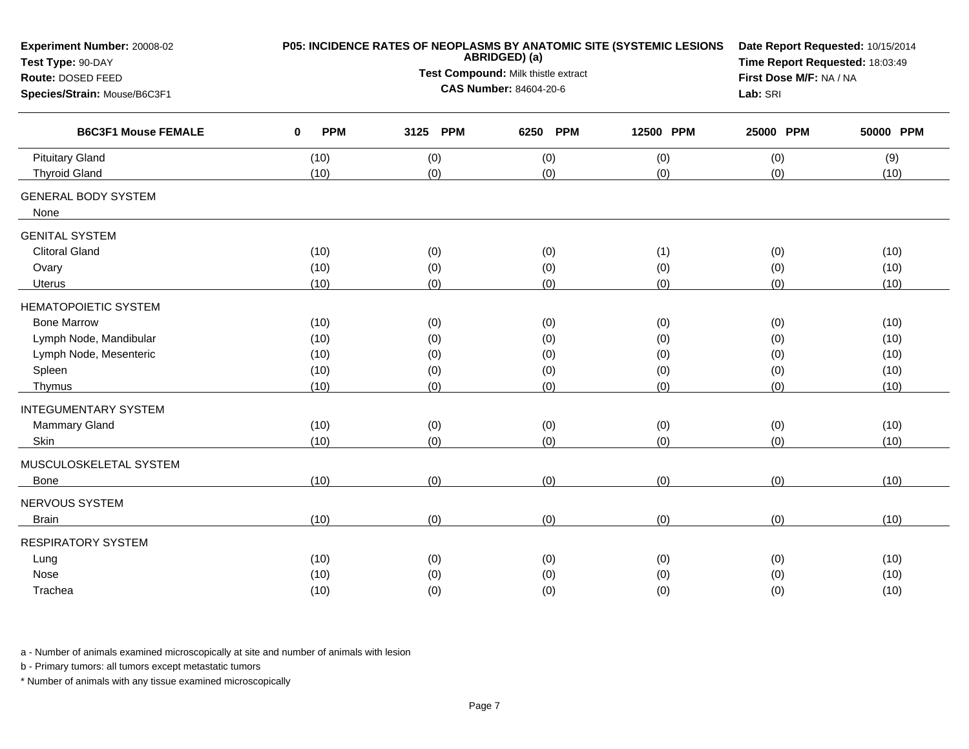| Experiment Number: 20008-02<br>Test Type: 90-DAY | P05: INCIDENCE RATES OF NEOPLASMS BY ANATOMIC SITE (SYSTEMIC LESIONS | Date Report Requested: 10/15/2014<br>Time Report Requested: 18:03:49 |                               |           |           |           |
|--------------------------------------------------|----------------------------------------------------------------------|----------------------------------------------------------------------|-------------------------------|-----------|-----------|-----------|
| Route: DOSED FEED                                |                                                                      | Test Compound: Milk thistle extract                                  | First Dose M/F: NA / NA       |           |           |           |
| Species/Strain: Mouse/B6C3F1                     |                                                                      |                                                                      | <b>CAS Number: 84604-20-6</b> |           | Lab: SRI  |           |
| <b>B6C3F1 Mouse FEMALE</b>                       | <b>PPM</b><br>$\bf{0}$                                               | 3125 PPM                                                             | <b>PPM</b><br>6250            | 12500 PPM | 25000 PPM | 50000 PPM |
| <b>Pituitary Gland</b>                           | (10)                                                                 | (0)                                                                  | (0)                           | (0)       | (0)       | (9)       |
| <b>Thyroid Gland</b>                             | (10)                                                                 | (0)                                                                  | (0)                           | (0)       | (0)       | (10)      |
| <b>GENERAL BODY SYSTEM</b><br>None               |                                                                      |                                                                      |                               |           |           |           |
| <b>GENITAL SYSTEM</b>                            |                                                                      |                                                                      |                               |           |           |           |
| <b>Clitoral Gland</b>                            | (10)                                                                 | (0)                                                                  | (0)                           | (1)       | (0)       | (10)      |
| Ovary                                            | (10)                                                                 | (0)                                                                  | (0)                           | (0)       | (0)       | (10)      |
| <b>Uterus</b>                                    | (10)                                                                 | (0)                                                                  | (0)                           | (0)       | (0)       | (10)      |
| <b>HEMATOPOIETIC SYSTEM</b>                      |                                                                      |                                                                      |                               |           |           |           |
| <b>Bone Marrow</b>                               | (10)                                                                 | (0)                                                                  | (0)                           | (0)       | (0)       | (10)      |
| Lymph Node, Mandibular                           | (10)                                                                 | (0)                                                                  | (0)                           | (0)       | (0)       | (10)      |
| Lymph Node, Mesenteric                           | (10)                                                                 | (0)                                                                  | (0)                           | (0)       | (0)       | (10)      |
| Spleen                                           | (10)                                                                 | (0)                                                                  | (0)                           | (0)       | (0)       | (10)      |
| Thymus                                           | (10)                                                                 | (0)                                                                  | (0)                           | (0)       | (0)       | (10)      |
| <b>INTEGUMENTARY SYSTEM</b>                      |                                                                      |                                                                      |                               |           |           |           |
| Mammary Gland                                    | (10)                                                                 | (0)                                                                  | (0)                           | (0)       | (0)       | (10)      |
| <b>Skin</b>                                      | (10)                                                                 | (0)                                                                  | (0)                           | (0)       | (0)       | (10)      |
| MUSCULOSKELETAL SYSTEM                           |                                                                      |                                                                      |                               |           |           |           |
| Bone                                             | (10)                                                                 | (0)                                                                  | (0)                           | (0)       | (0)       | (10)      |
| NERVOUS SYSTEM                                   |                                                                      |                                                                      |                               |           |           |           |
| <b>Brain</b>                                     | (10)                                                                 | (0)                                                                  | (0)                           | (0)       | (0)       | (10)      |
| <b>RESPIRATORY SYSTEM</b>                        |                                                                      |                                                                      |                               |           |           |           |
| Lung                                             | (10)                                                                 | (0)                                                                  | (0)                           | (0)       | (0)       | (10)      |
| Nose                                             | (10)                                                                 | (0)                                                                  | (0)                           | (0)       | (0)       | (10)      |
| Trachea                                          | (10)                                                                 | (0)                                                                  | (0)                           | (0)       | (0)       | (10)      |

b - Primary tumors: all tumors except metastatic tumors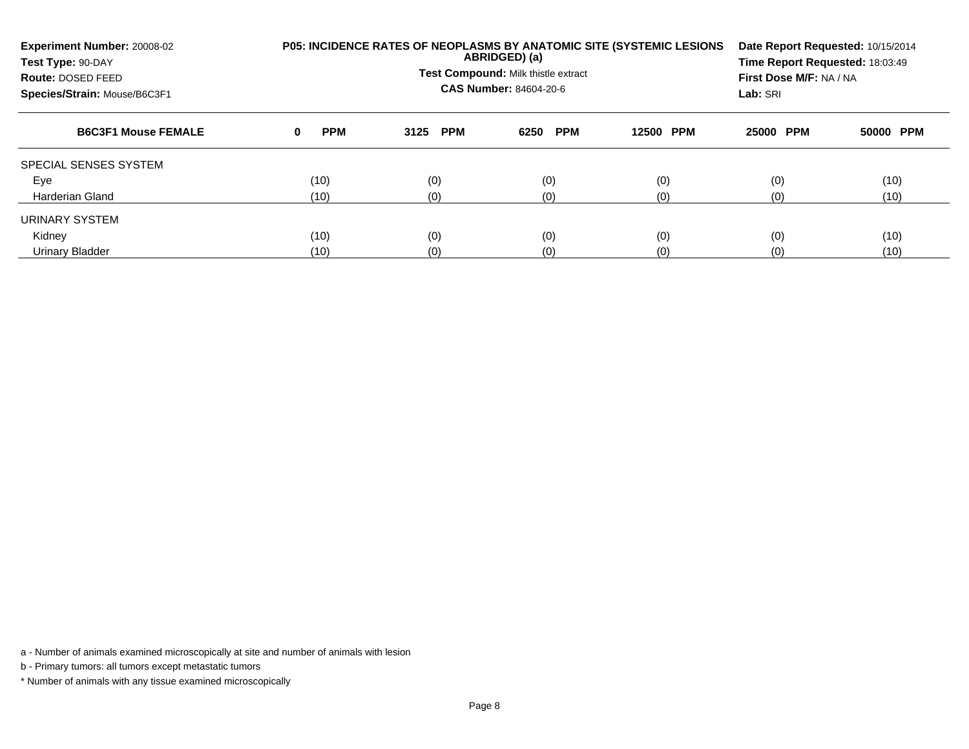| Experiment Number: 20008-02<br>Test Type: 90-DAY<br>Route: DOSED FEED<br>Species/Strain: Mouse/B6C3F1 |                 | <b>P05: INCIDENCE RATES OF NEOPLASMS BY ANATOMIC SITE (SYSTEMIC LESIONS)</b><br>ABRIDGED) (a)<br>Test Compound: Milk thistle extract<br><b>CAS Number: 84604-20-6</b> | Date Report Requested: 10/15/2014<br>Time Report Requested: 18:03:49<br>First Dose M/F: NA / NA<br>Lab: SRI |           |           |           |
|-------------------------------------------------------------------------------------------------------|-----------------|-----------------------------------------------------------------------------------------------------------------------------------------------------------------------|-------------------------------------------------------------------------------------------------------------|-----------|-----------|-----------|
| <b>B6C3F1 Mouse FEMALE</b>                                                                            | <b>PPM</b><br>0 | 3125 PPM                                                                                                                                                              | <b>PPM</b><br>6250                                                                                          | 12500 PPM | 25000 PPM | 50000 PPM |
| SPECIAL SENSES SYSTEM                                                                                 |                 |                                                                                                                                                                       |                                                                                                             |           |           |           |
| Eye                                                                                                   | (10)            | (0)                                                                                                                                                                   | (0)                                                                                                         | (0)       | (0)       | (10)      |
| Harderian Gland                                                                                       | (10)            | (0)                                                                                                                                                                   | (0)                                                                                                         | (0)       | (0)       | (10)      |
| URINARY SYSTEM                                                                                        |                 |                                                                                                                                                                       |                                                                                                             |           |           |           |
| Kidney                                                                                                | (10)            | (0)                                                                                                                                                                   | (0)                                                                                                         | (0)       | (0)       | (10)      |
| <b>Urinary Bladder</b>                                                                                | (10)            | (0)                                                                                                                                                                   | (0)                                                                                                         | (0)       | (0)       | (10)      |

b - Primary tumors: all tumors except metastatic tumors